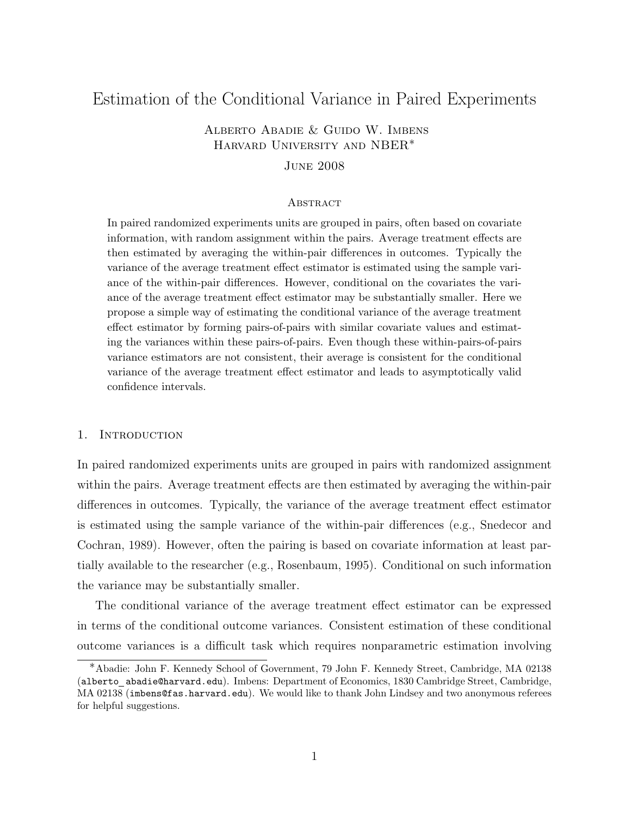# Estimation of the Conditional Variance in Paired Experiments

## Alberto Abadie & Guido W. Imbens Harvard University and NBER∗

### June 2008

#### **ABSTRACT**

In paired randomized experiments units are grouped in pairs, often based on covariate information, with random assignment within the pairs. Average treatment effects are then estimated by averaging the within-pair differences in outcomes. Typically the variance of the average treatment effect estimator is estimated using the sample variance of the within-pair differences. However, conditional on the covariates the variance of the average treatment effect estimator may be substantially smaller. Here we propose a simple way of estimating the conditional variance of the average treatment effect estimator by forming pairs-of-pairs with similar covariate values and estimating the variances within these pairs-of-pairs. Even though these within-pairs-of-pairs variance estimators are not consistent, their average is consistent for the conditional variance of the average treatment effect estimator and leads to asymptotically valid confidence intervals.

#### 1. INTRODUCTION

In paired randomized experiments units are grouped in pairs with randomized assignment within the pairs. Average treatment effects are then estimated by averaging the within-pair differences in outcomes. Typically, the variance of the average treatment effect estimator is estimated using the sample variance of the within-pair differences (e.g., Snedecor and Cochran, 1989). However, often the pairing is based on covariate information at least partially available to the researcher (e.g., Rosenbaum, 1995). Conditional on such information the variance may be substantially smaller.

The conditional variance of the average treatment effect estimator can be expressed in terms of the conditional outcome variances. Consistent estimation of these conditional outcome variances is a difficult task which requires nonparametric estimation involving

<sup>∗</sup>Abadie: John F. Kennedy School of Government, 79 John F. Kennedy Street, Cambridge, MA 02138 (alberto abadie@harvard.edu). Imbens: Department of Economics, 1830 Cambridge Street, Cambridge, MA 02138 (imbens@fas.harvard.edu). We would like to thank John Lindsey and two anonymous referees for helpful suggestions.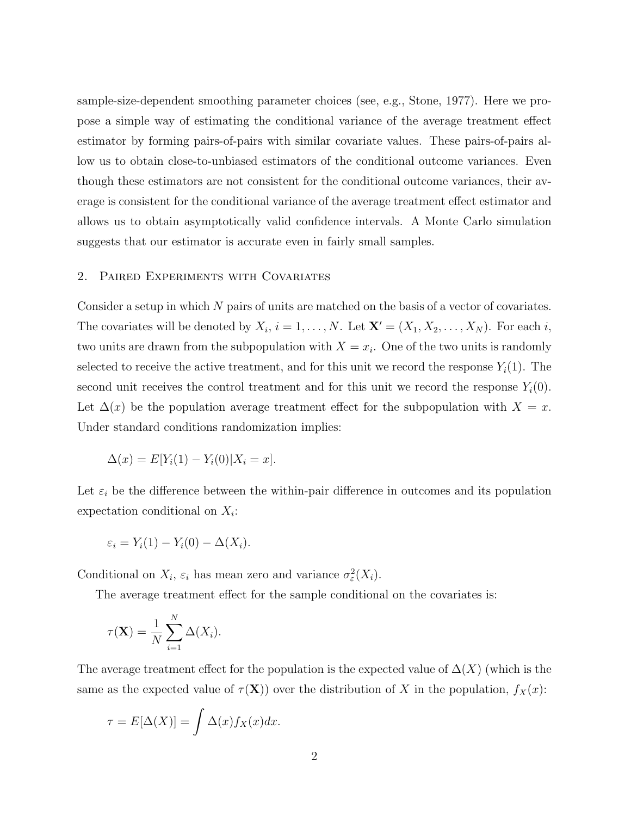sample-size-dependent smoothing parameter choices (see, e.g., Stone, 1977). Here we propose a simple way of estimating the conditional variance of the average treatment effect estimator by forming pairs-of-pairs with similar covariate values. These pairs-of-pairs allow us to obtain close-to-unbiased estimators of the conditional outcome variances. Even though these estimators are not consistent for the conditional outcome variances, their average is consistent for the conditional variance of the average treatment effect estimator and allows us to obtain asymptotically valid confidence intervals. A Monte Carlo simulation suggests that our estimator is accurate even in fairly small samples.

#### 2. Paired Experiments with Covariates

Consider a setup in which N pairs of units are matched on the basis of a vector of covariates. The covariates will be denoted by  $X_i$ ,  $i = 1, ..., N$ . Let  $\mathbf{X}' = (X_1, X_2, ..., X_N)$ . For each i, two units are drawn from the subpopulation with  $X = x_i$ . One of the two units is randomly selected to receive the active treatment, and for this unit we record the response  $Y_i(1)$ . The second unit receives the control treatment and for this unit we record the response  $Y_i(0)$ . Let  $\Delta(x)$  be the population average treatment effect for the subpopulation with  $X = x$ . Under standard conditions randomization implies:

$$
\Delta(x) = E[Y_i(1) - Y_i(0)|X_i = x].
$$

Let  $\varepsilon_i$  be the difference between the within-pair difference in outcomes and its population expectation conditional on  $X_i$ :

$$
\varepsilon_i = Y_i(1) - Y_i(0) - \Delta(X_i).
$$

Conditional on  $X_i$ ,  $\varepsilon_i$  has mean zero and variance  $\sigma_{\varepsilon}^2(X_i)$ .

The average treatment effect for the sample conditional on the covariates is:

$$
\tau(\mathbf{X}) = \frac{1}{N} \sum_{i=1}^{N} \Delta(X_i).
$$

The average treatment effect for the population is the expected value of  $\Delta(X)$  (which is the same as the expected value of  $\tau(X)$ ) over the distribution of X in the population,  $f_X(x)$ :

$$
\tau = E[\Delta(X)] = \int \Delta(x) f_X(x) dx.
$$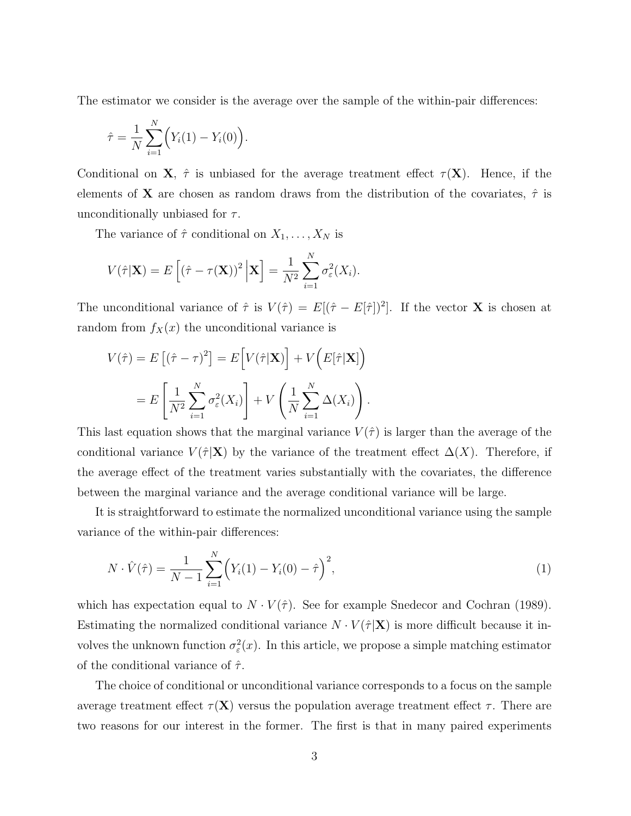The estimator we consider is the average over the sample of the within-pair differences:

$$
\hat{\tau} = \frac{1}{N} \sum_{i=1}^{N} \Big( Y_i(1) - Y_i(0) \Big).
$$

Conditional on **X**,  $\hat{\tau}$  is unbiased for the average treatment effect  $\tau(X)$ . Hence, if the elements of **X** are chosen as random draws from the distribution of the covariates,  $\hat{\tau}$  is unconditionally unbiased for  $\tau$ .

The variance of  $\hat{\tau}$  conditional on  $X_1, \ldots, X_N$  is

$$
V(\hat{\tau}|\mathbf{X}) = E\left[\left(\hat{\tau} - \tau(\mathbf{X})\right)^2 \Big| \mathbf{X}\right] = \frac{1}{N^2} \sum_{i=1}^N \sigma_{\varepsilon}^2(X_i).
$$

The unconditional variance of  $\hat{\tau}$  is  $V(\hat{\tau}) = E[(\hat{\tau} - E[\hat{\tau}])^2]$ . If the vector **X** is chosen at random from  $f_X(x)$  the unconditional variance is

$$
V(\hat{\tau}) = E[(\hat{\tau} - \tau)^2] = E[V(\hat{\tau}|\mathbf{X})] + V(E[\hat{\tau}|\mathbf{X}])
$$
  
= 
$$
E\left[\frac{1}{N^2} \sum_{i=1}^N \sigma_{\varepsilon}^2(X_i)\right] + V\left(\frac{1}{N} \sum_{i=1}^N \Delta(X_i)\right).
$$

This last equation shows that the marginal variance  $V(\hat{\tau})$  is larger than the average of the conditional variance  $V(\hat{\tau}|\mathbf{X})$  by the variance of the treatment effect  $\Delta(X)$ . Therefore, if the average effect of the treatment varies substantially with the covariates, the difference between the marginal variance and the average conditional variance will be large.

It is straightforward to estimate the normalized unconditional variance using the sample variance of the within-pair differences:

$$
N \cdot \hat{V}(\hat{\tau}) = \frac{1}{N-1} \sum_{i=1}^{N} \left( Y_i(1) - Y_i(0) - \hat{\tau} \right)^2,
$$
\n(1)

which has expectation equal to  $N \cdot V(\hat{\tau})$ . See for example Snedecor and Cochran (1989). Estimating the normalized conditional variance  $N \cdot V(\hat{\tau}|\mathbf{X})$  is more difficult because it involves the unknown function  $\sigma_{\varepsilon}^2(x)$ . In this article, we propose a simple matching estimator of the conditional variance of  $\hat{\tau}$ .

The choice of conditional or unconditional variance corresponds to a focus on the sample average treatment effect  $\tau(\mathbf{X})$  versus the population average treatment effect  $\tau$ . There are two reasons for our interest in the former. The first is that in many paired experiments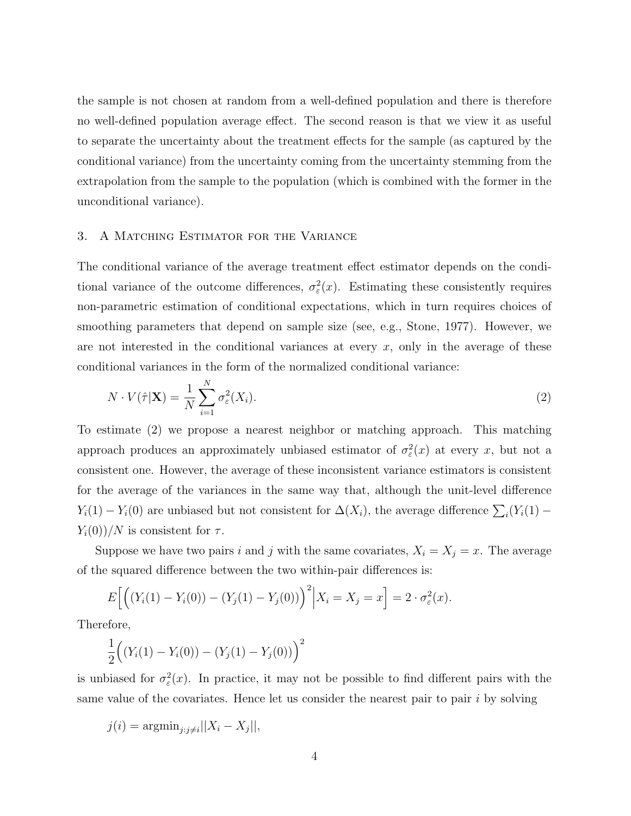the sample is not chosen at random from a well-defined population and there is therefore no well-defined population average effect. The second reason is that we view it as useful to separate the uncertainty about the treatment effects for the sample (as captured by the conditional variance) from the uncertainty coming from the uncertainty stemming from the extrapolation from the sample to the population (which is combined with the former in the unconditional variance).

#### 3. A Matching Estimator for the Variance

The conditional variance of the average treatment effect estimator depends on the conditional variance of the outcome differences,  $\sigma_{\varepsilon}^2(x)$ . Estimating these consistently requires non-parametric estimation of conditional expectations, which in turn requires choices of smoothing parameters that depend on sample size (see, e.g., Stone, 1977). However, we are not interested in the conditional variances at every  $x$ , only in the average of these conditional variances in the form of the normalized conditional variance:

$$
N \cdot V(\hat{\tau}|\mathbf{X}) = \frac{1}{N} \sum_{i=1}^{N} \sigma_{\varepsilon}^{2}(X_{i}).
$$
\n(2)

To estimate (2) we propose a nearest neighbor or matching approach. This matching approach produces an approximately unbiased estimator of  $\sigma_{\varepsilon}^{2}(x)$  at every x, but not a consistent one. However, the average of these inconsistent variance estimators is consistent for the average of the variances in the same way that, although the unit-level difference  $Y_i(1) - Y_i(0)$  are unbiased but not consistent for  $\Delta(X_i)$ , the average difference  $\sum_i (Y_i(1) - Y_i(0))$  $Y_i(0)/N$  is consistent for  $\tau$ .

Suppose we have two pairs i and j with the same covariates,  $X_i = X_j = x$ . The average of the squared difference between the two within-pair differences is:

$$
E\Big[\Big((Y_i(1) - Y_i(0)) - (Y_j(1) - Y_j(0))\Big)^2\Big| X_i = X_j = x\Big] = 2 \cdot \sigma_{\varepsilon}^2(x).
$$

Therefore,

$$
\frac{1}{2}((Y_i(1) - Y_i(0)) - (Y_j(1) - Y_j(0)))\bigg)^2
$$

is unbiased for  $\sigma_{\varepsilon}^{2}(x)$ . In practice, it may not be possible to find different pairs with the same value of the covariates. Hence let us consider the nearest pair to pair  $i$  by solving

$$
j(i) = \operatorname{argmin}_{j:j \neq i} ||X_i - X_j||,
$$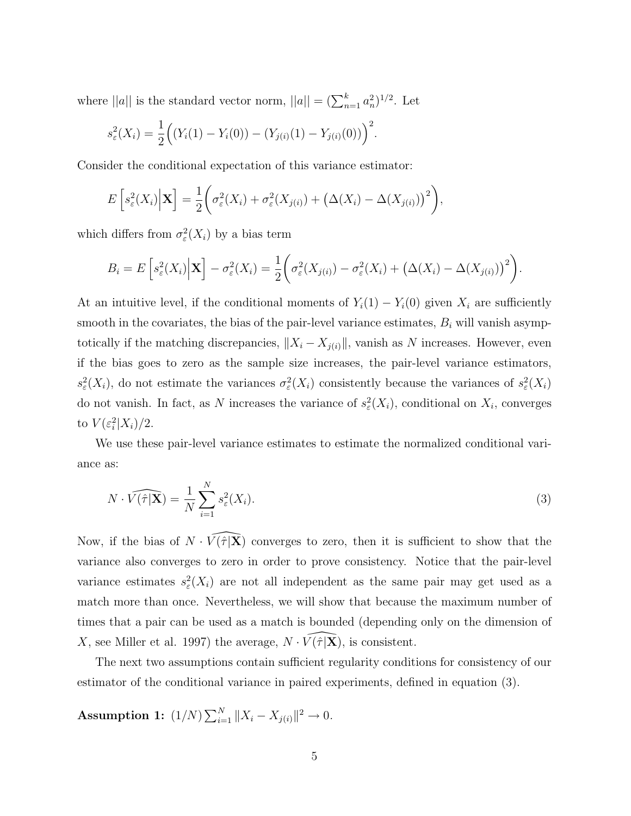where  $||a||$  is the standard vector norm,  $||a|| = (\sum_{n=1}^{k} a_n^2)^{1/2}$ . Let

$$
s_{\varepsilon}^{2}(X_{i}) = \frac{1}{2} ((Y_{i}(1) - Y_{i}(0)) - (Y_{j(i)}(1) - Y_{j(i)}(0)))^{2}.
$$

Consider the conditional expectation of this variance estimator:

$$
E\left[s_{\varepsilon}^{2}(X_{i})\Big|\mathbf{X}\right]=\frac{1}{2}\bigg(\sigma_{\varepsilon}^{2}(X_{i})+\sigma_{\varepsilon}^{2}(X_{j(i)})+\big(\Delta(X_{i})-\Delta(X_{j(i)})\big)^{2}\bigg),
$$

which differs from  $\sigma_{\varepsilon}^2(X_i)$  by a bias term

$$
B_i = E\left[s_\varepsilon^2(X_i) \middle| \mathbf{X}\right] - \sigma_\varepsilon^2(X_i) = \frac{1}{2} \bigg(\sigma_\varepsilon^2(X_{j(i)}) - \sigma_\varepsilon^2(X_i) + \big(\Delta(X_i) - \Delta(X_{j(i)})\big)^2\bigg).
$$

At an intuitive level, if the conditional moments of  $Y_i(1) - Y_i(0)$  given  $X_i$  are sufficiently smooth in the covariates, the bias of the pair-level variance estimates,  $B_i$  will vanish asymptotically if the matching discrepancies,  $||X_i - X_{j(i)}||$ , vanish as N increases. However, even if the bias goes to zero as the sample size increases, the pair-level variance estimators,  $s_{\varepsilon}^{2}(X_{i})$ , do not estimate the variances  $\sigma_{\varepsilon}^{2}(X_{i})$  consistently because the variances of  $s_{\varepsilon}^{2}(X_{i})$ do not vanish. In fact, as N increases the variance of  $s_{\varepsilon}^2(X_i)$ , conditional on  $X_i$ , converges to  $V(\varepsilon_i^2|X_i)/2$ .

We use these pair-level variance estimates to estimate the normalized conditional variance as:

$$
N \cdot \widehat{V(\hat{\tau}|\mathbf{X})} = \frac{1}{N} \sum_{i=1}^{N} s_{\varepsilon}^{2}(X_{i}).
$$
\n(3)

Now, if the bias of  $N \cdot \widehat{V(\hat{\tau}|\mathbf{X})}$  converges to zero, then it is sufficient to show that the variance also converges to zero in order to prove consistency. Notice that the pair-level variance estimates  $s_{\varepsilon}^{2}(X_{i})$  are not all independent as the same pair may get used as a match more than once. Nevertheless, we will show that because the maximum number of times that a pair can be used as a match is bounded (depending only on the dimension of X, see Miller et al. 1997) the average,  $N \cdot \widehat{V(\tau | \mathbf{X})}$ , is consistent.

The next two assumptions contain sufficient regularity conditions for consistency of our estimator of the conditional variance in paired experiments, defined in equation (3).

Assumption 1:  $(1/N)\sum_{i=1}^{N}$  $\|X_i - X_{j(i)}\|^2 \to 0.$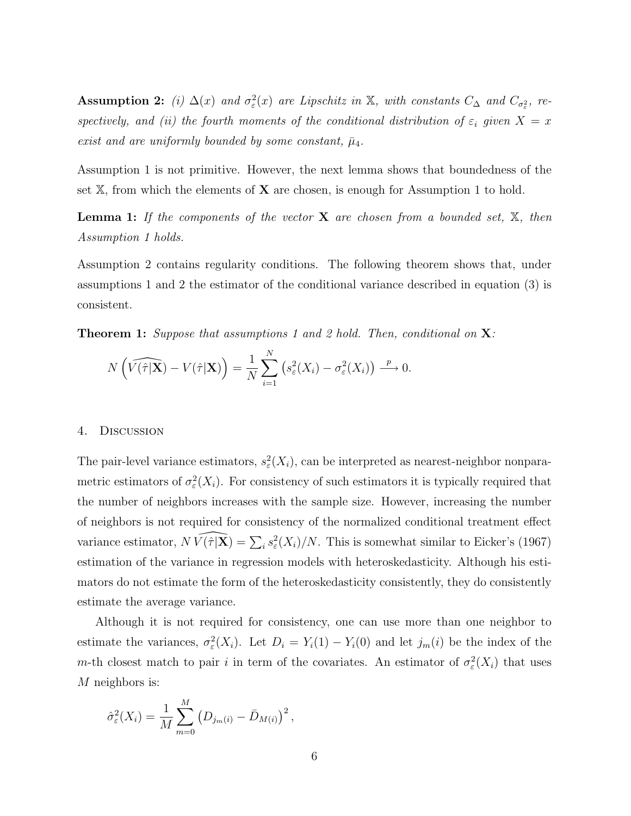Assumption 2: (i)  $\Delta(x)$  and  $\sigma_{\varepsilon}^2(x)$  are Lipschitz in X, with constants  $C_{\Delta}$  and  $C_{\sigma_{\varepsilon}^2}$ , respectively, and (ii) the fourth moments of the conditional distribution of  $\varepsilon_i$  given  $X = x$ exist and are uniformly bounded by some constant,  $\bar{\mu}_4$ .

Assumption 1 is not primitive. However, the next lemma shows that boundedness of the set  $X$ , from which the elements of  $X$  are chosen, is enough for Assumption 1 to hold.

**Lemma 1:** If the components of the vector  $X$  are chosen from a bounded set,  $X$ , then Assumption 1 holds.

Assumption 2 contains regularity conditions. The following theorem shows that, under assumptions 1 and 2 the estimator of the conditional variance described in equation (3) is consistent.

**Theorem 1:** Suppose that assumptions 1 and 2 hold. Then, conditional on  $X$ :

$$
N\left(\widehat{V(\hat{\tau}|\mathbf{X})} - V(\hat{\tau}|\mathbf{X})\right) = \frac{1}{N} \sum_{i=1}^{N} \left(s_{\varepsilon}^{2}(X_{i}) - \sigma_{\varepsilon}^{2}(X_{i})\right) \xrightarrow{p} 0.
$$

#### 4. Discussion

The pair-level variance estimators,  $s_{\varepsilon}^{2}(X_{i})$ , can be interpreted as nearest-neighbor nonparametric estimators of  $\sigma_{\varepsilon}^2(X_i)$ . For consistency of such estimators it is typically required that the number of neighbors increases with the sample size. However, increasing the number of neighbors is not required for consistency of the normalized conditional treatment effect variance estimator,  $N \widehat{V(\hat{\tau} | \mathbf{X})} = \sum_i s_{\varepsilon}^2(X_i)/N$ . This is somewhat similar to Eicker's (1967) estimation of the variance in regression models with heteroskedasticity. Although his estimators do not estimate the form of the heteroskedasticity consistently, they do consistently estimate the average variance.

Although it is not required for consistency, one can use more than one neighbor to estimate the variances,  $\sigma_{\varepsilon}^2(X_i)$ . Let  $D_i = Y_i(1) - Y_i(0)$  and let  $j_m(i)$  be the index of the m-th closest match to pair i in term of the covariates. An estimator of  $\sigma_{\varepsilon}^2(X_i)$  that uses M neighbors is:

$$
\hat{\sigma}_{\varepsilon}^{2}(X_{i}) = \frac{1}{M} \sum_{m=0}^{M} (D_{j_{m}(i)} - \bar{D}_{M(i)})^{2},
$$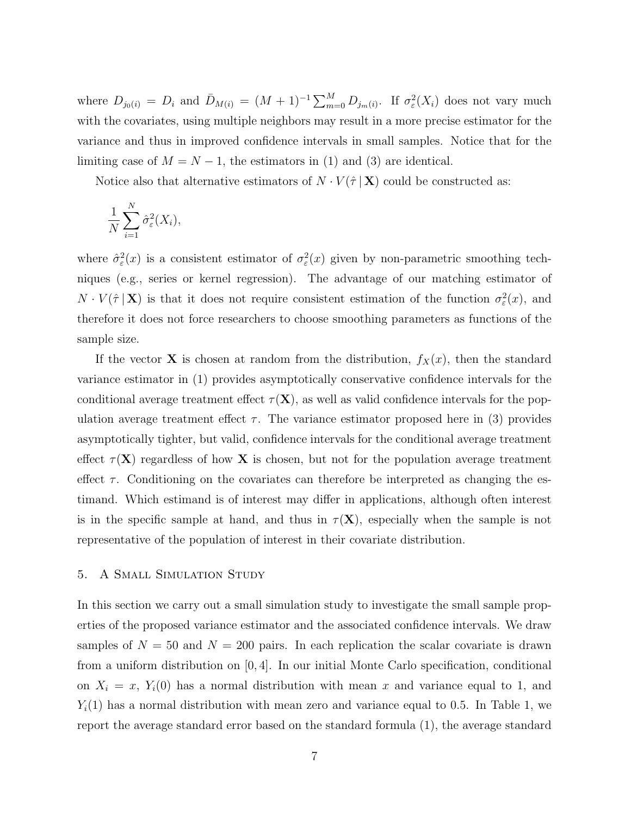where  $D_{j_0(i)} = D_i$  and  $\bar{D}_{M(i)} = (M+1)^{-1} \sum_{m=0}^{M} D_{j_m(i)}$ . If  $\sigma_{\varepsilon}^2(X_i)$  does not vary much with the covariates, using multiple neighbors may result in a more precise estimator for the variance and thus in improved confidence intervals in small samples. Notice that for the limiting case of  $M = N - 1$ , the estimators in (1) and (3) are identical.

Notice also that alternative estimators of  $N \cdot V(\hat{\tau} | \mathbf{X})$  could be constructed as:

$$
\frac{1}{N} \sum_{i=1}^{N} \hat{\sigma}_{\varepsilon}^{2}(X_{i}),
$$

where  $\hat{\sigma}_{\varepsilon}^2(x)$  is a consistent estimator of  $\sigma_{\varepsilon}^2(x)$  given by non-parametric smoothing techniques (e.g., series or kernel regression). The advantage of our matching estimator of  $N \cdot V(\hat{\tau} | \mathbf{X})$  is that it does not require consistent estimation of the function  $\sigma_{\varepsilon}^2(x)$ , and therefore it does not force researchers to choose smoothing parameters as functions of the sample size.

If the vector **X** is chosen at random from the distribution,  $f_X(x)$ , then the standard variance estimator in (1) provides asymptotically conservative confidence intervals for the conditional average treatment effect  $\tau(\mathbf{X})$ , as well as valid confidence intervals for the population average treatment effect  $\tau$ . The variance estimator proposed here in (3) provides asymptotically tighter, but valid, confidence intervals for the conditional average treatment effect  $\tau(X)$  regardless of how X is chosen, but not for the population average treatment effect  $\tau$ . Conditioning on the covariates can therefore be interpreted as changing the estimand. Which estimand is of interest may differ in applications, although often interest is in the specific sample at hand, and thus in  $\tau(X)$ , especially when the sample is not representative of the population of interest in their covariate distribution.

#### 5. A Small Simulation Study

In this section we carry out a small simulation study to investigate the small sample properties of the proposed variance estimator and the associated confidence intervals. We draw samples of  $N = 50$  and  $N = 200$  pairs. In each replication the scalar covariate is drawn from a uniform distribution on [0, 4]. In our initial Monte Carlo specification, conditional on  $X_i = x$ ,  $Y_i(0)$  has a normal distribution with mean x and variance equal to 1, and  $Y_i(1)$  has a normal distribution with mean zero and variance equal to 0.5. In Table 1, we report the average standard error based on the standard formula (1), the average standard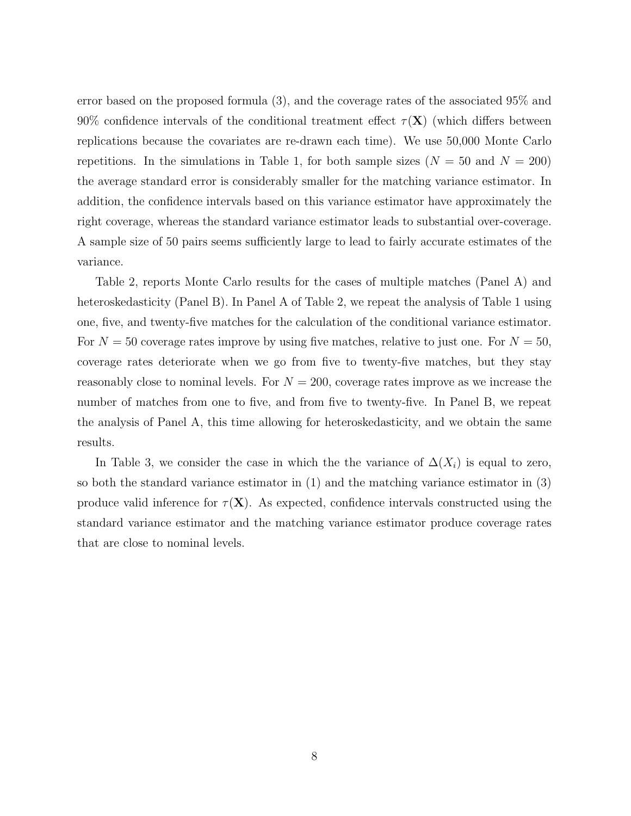error based on the proposed formula (3), and the coverage rates of the associated 95% and 90% confidence intervals of the conditional treatment effect  $\tau(X)$  (which differs between replications because the covariates are re-drawn each time). We use 50,000 Monte Carlo repetitions. In the simulations in Table 1, for both sample sizes ( $N = 50$  and  $N = 200$ ) the average standard error is considerably smaller for the matching variance estimator. In addition, the confidence intervals based on this variance estimator have approximately the right coverage, whereas the standard variance estimator leads to substantial over-coverage. A sample size of 50 pairs seems sufficiently large to lead to fairly accurate estimates of the variance.

Table 2, reports Monte Carlo results for the cases of multiple matches (Panel A) and heteroskedasticity (Panel B). In Panel A of Table 2, we repeat the analysis of Table 1 using one, five, and twenty-five matches for the calculation of the conditional variance estimator. For  $N = 50$  coverage rates improve by using five matches, relative to just one. For  $N = 50$ , coverage rates deteriorate when we go from five to twenty-five matches, but they stay reasonably close to nominal levels. For  $N = 200$ , coverage rates improve as we increase the number of matches from one to five, and from five to twenty-five. In Panel B, we repeat the analysis of Panel A, this time allowing for heteroskedasticity, and we obtain the same results.

In Table 3, we consider the case in which the the variance of  $\Delta(X_i)$  is equal to zero, so both the standard variance estimator in (1) and the matching variance estimator in (3) produce valid inference for  $\tau(X)$ . As expected, confidence intervals constructed using the standard variance estimator and the matching variance estimator produce coverage rates that are close to nominal levels.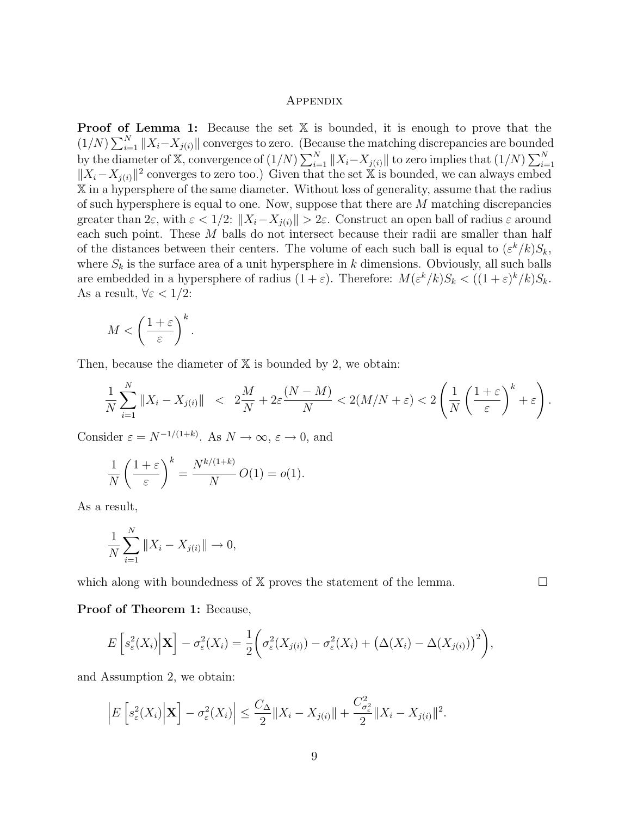#### Appendix

**Proof of Lemma 1:** Because the set  $X$  is bounded, it is enough to prove that the **Proof** of  $(1/N)\sum_{i=1}^{N}$  $\sum_{i=1}^{N} \|X_i - X_{j(i)}\|$  converges to zero. (Because the matching discrepancies are bounded by the diameter of X, convergence of  $(1/N)\sum_{i=1}^{N}$  $\sum_{i=1}^{N}$   $\|X_i - X_{j(i)}\|$  to zero implies that  $(1/N)$  $\sum_{N}$  $i=1$  $||X_i - X_{i(i)}||^2$  converges to zero too.) Given that the set X is bounded, we can always embed X in a hypersphere of the same diameter. Without loss of generality, assume that the radius of such hypersphere is equal to one. Now, suppose that there are M matching discrepancies greater than  $2\varepsilon$ , with  $\varepsilon < 1/2$ :  $||X_i - X_{i(i)}|| > 2\varepsilon$ . Construct an open ball of radius  $\varepsilon$  around each such point. These M balls do not intersect because their radii are smaller than half of the distances between their centers. The volume of each such ball is equal to  $(\varepsilon^k/k)S_k$ , where  $S_k$  is the surface area of a unit hypersphere in k dimensions. Obviously, all such balls are embedded in a hypersphere of radius  $(1+\varepsilon)$ . Therefore:  $M(\varepsilon^k/k)S_k < ((1+\varepsilon)^k/k)S_k$ . As a result,  $\forall \varepsilon < 1/2$ :

$$
M < \left(\frac{1+\varepsilon}{\varepsilon}\right)^k.
$$

Then, because the diameter of  $X$  is bounded by 2, we obtain:

$$
\frac{1}{N}\sum_{i=1}^N \|X_i - X_{j(i)}\| < 2\frac{M}{N} + 2\varepsilon \frac{(N-M)}{N} < 2\left(M/N + \varepsilon\right) < 2\left(\frac{1}{N}\left(\frac{1+\varepsilon}{\varepsilon}\right)^k + \varepsilon\right).
$$

Consider  $\varepsilon = N^{-1/(1+k)}$ . As  $N \to \infty$ ,  $\varepsilon \to 0$ , and

$$
\frac{1}{N} \left( \frac{1+\varepsilon}{\varepsilon} \right)^k = \frac{N^{k/(1+k)}}{N} O(1) = o(1).
$$

As a result,

$$
\frac{1}{N} \sum_{i=1}^{N} \|X_i - X_{j(i)}\| \to 0,
$$

which along with boundedness of  $X$  proves the statement of the lemma.  $\Box$ 

#### Proof of Theorem 1: Because,

$$
E\left[s_{\varepsilon}^{2}(X_{i})\Big|\mathbf{X}\right]-\sigma_{\varepsilon}^{2}(X_{i})=\frac{1}{2}\bigg(\sigma_{\varepsilon}^{2}(X_{j(i)})-\sigma_{\varepsilon}^{2}(X_{i})+\big(\Delta(X_{i})-\Delta(X_{j(i)})\big)^{2}\bigg),
$$

and Assumption 2, we obtain:

$$
\left|E\left[s_{\varepsilon}^{2}(X_{i})\Big|\mathbf{X}\right]-\sigma_{\varepsilon}^{2}(X_{i})\right| \leq \frac{C_{\Delta}}{2}\|X_{i}-X_{j(i)}\|+\frac{C_{\sigma_{\varepsilon}^{2}}^{2}}{2}\|X_{i}-X_{j(i)}\|^{2}.
$$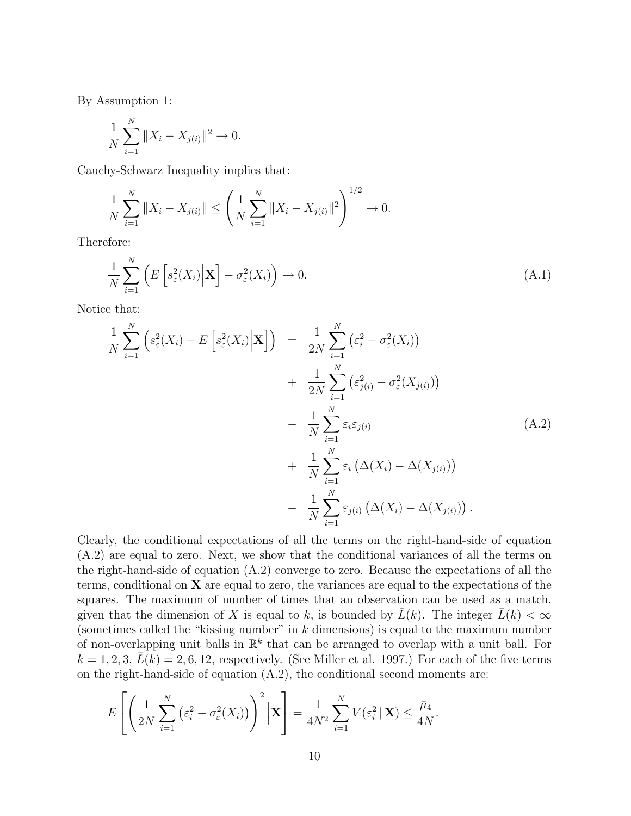By Assumption 1:

$$
\frac{1}{N} \sum_{i=1}^{N} \|X_i - X_{j(i)}\|^2 \to 0.
$$

Cauchy-Schwarz Inequality implies that:

$$
\frac{1}{N} \sum_{i=1}^{N} \|X_i - X_{j(i)}\| \le \left(\frac{1}{N} \sum_{i=1}^{N} \|X_i - X_{j(i)}\|^2\right)^{1/2} \to 0.
$$

Therefore:

$$
\frac{1}{N} \sum_{i=1}^{N} \left( E\left[ s_{\varepsilon}^{2}(X_{i}) \Big| \mathbf{X} \right] - \sigma_{\varepsilon}^{2}(X_{i}) \right) \to 0. \tag{A.1}
$$

Notice that:

$$
\frac{1}{N} \sum_{i=1}^{N} \left( s_{\varepsilon}^{2}(X_{i}) - E\left[ s_{\varepsilon}^{2}(X_{i}) \Big| \mathbf{X} \right] \right) = \frac{1}{2N} \sum_{i=1}^{N} \left( \varepsilon_{i}^{2} - \sigma_{\varepsilon}^{2}(X_{i}) \right) \n+ \frac{1}{2N} \sum_{i=1}^{N} \left( \varepsilon_{j(i)}^{2} - \sigma_{\varepsilon}^{2}(X_{j(i)}) \right) \n- \frac{1}{N} \sum_{i=1}^{N} \varepsilon_{i} \varepsilon_{j(i)} \n+ \frac{1}{N} \sum_{i=1}^{N} \varepsilon_{i} \left( \Delta(X_{i}) - \Delta(X_{j(i)}) \right) \n- \frac{1}{N} \sum_{i=1}^{N} \varepsilon_{j(i)} \left( \Delta(X_{i}) - \Delta(X_{j(i)}) \right).
$$
\n(A.2)

Clearly, the conditional expectations of all the terms on the right-hand-side of equation (A.2) are equal to zero. Next, we show that the conditional variances of all the terms on the right-hand-side of equation (A.2) converge to zero. Because the expectations of all the terms, conditional on  $X$  are equal to zero, the variances are equal to the expectations of the squares. The maximum of number of times that an observation can be used as a match, given that the dimension of X is equal to k, is bounded by  $\bar{L}(k)$ . The integer  $\bar{L}(k) < \infty$ (sometimes called the "kissing number" in  $k$  dimensions) is equal to the maximum number of non-overlapping unit balls in  $\mathbb{R}^k$  that can be arranged to overlap with a unit ball. For  $k = 1, 2, 3, \bar{L}(k) = 2, 6, 12$ , respectively. (See Miller et al. 1997.) For each of the five terms on the right-hand-side of equation  $(A.2)$ , the conditional second moments are:

$$
E\left[\left(\frac{1}{2N}\sum_{i=1}^N\left(\varepsilon_i^2-\sigma_{\varepsilon}^2(X_i)\right)\right)^2\Big|\mathbf{X}\right]=\frac{1}{4N^2}\sum_{i=1}^N V(\varepsilon_i^2\|\mathbf{X})\leq \frac{\bar{\mu}_4}{4N}.
$$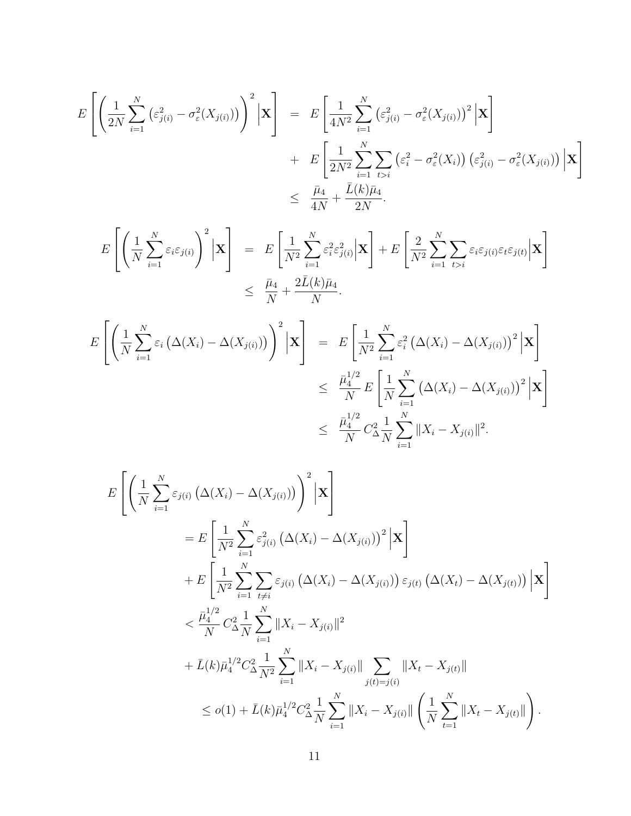$$
E\left[\left(\frac{1}{2N}\sum_{i=1}^{N}\left(\varepsilon_{j(i)}^{2}-\sigma_{\varepsilon}^{2}(X_{j(i)})\right)\right)^{2}\Big|\mathbf{X}\right] = E\left[\frac{1}{4N^{2}}\sum_{i=1}^{N}\left(\varepsilon_{j(i)}^{2}-\sigma_{\varepsilon}^{2}(X_{j(i)})\right)^{2}\Big|\mathbf{X}\right] + E\left[\frac{1}{2N^{2}}\sum_{i=1}^{N}\sum_{t>i}\left(\varepsilon_{i}^{2}-\sigma_{\varepsilon}^{2}(X_{i})\right)\left(\varepsilon_{j(i)}^{2}-\sigma_{\varepsilon}^{2}(X_{j(i)})\right)\Big|\mathbf{X}\right] \leq \frac{\bar{\mu}_{4}}{4N} + \frac{\bar{L}(k)\bar{\mu}_{4}}{2N}.
$$

$$
E\left[\left(\frac{1}{N}\sum_{i=1}^{N}\varepsilon_{i}\varepsilon_{j(i)}\right)^{2}\Big|\mathbf{X}\right] = E\left[\frac{1}{N^{2}}\sum_{i=1}^{N}\varepsilon_{i}^{2}\varepsilon_{j(i)}^{2}\Big|\mathbf{X}\right] + E\left[\frac{2}{N^{2}}\sum_{i=1}^{N}\sum_{t>i}\varepsilon_{i}\varepsilon_{j(i)}\varepsilon_{t}\varepsilon_{j(t)}\Big|\mathbf{X}\right]
$$
  

$$
\leq \frac{\bar{\mu}_{4}}{N} + \frac{2\bar{L}(k)\bar{\mu}_{4}}{N}.
$$

$$
E\left[\left(\frac{1}{N}\sum_{i=1}^{N}\varepsilon_{i}\left(\Delta(X_{i})-\Delta(X_{j(i)})\right)\right)^{2}\Big|\mathbf{X}\right] = E\left[\frac{1}{N^{2}}\sum_{i=1}^{N}\varepsilon_{i}^{2}\left(\Delta(X_{i})-\Delta(X_{j(i)})\right)^{2}\Big|\mathbf{X}\right]
$$
  

$$
\leq \frac{\bar{\mu}_{4}^{1/2}}{N}E\left[\frac{1}{N}\sum_{i=1}^{N}\left(\Delta(X_{i})-\Delta(X_{j(i)})\right)^{2}\Big|\mathbf{X}\right]
$$
  

$$
\leq \frac{\bar{\mu}_{4}^{1/2}}{N}C_{\Delta}^{2}\frac{1}{N}\sum_{i=1}^{N}\|X_{i}-X_{j(i)}\|^{2}.
$$

$$
E\left[\left(\frac{1}{N}\sum_{i=1}^{N}\varepsilon_{j(i)}\left(\Delta(X_{i})-\Delta(X_{j(i)})\right)^{2}\Big|\mathbf{X}\right]\right]
$$
  
\n
$$
=E\left[\frac{1}{N^{2}}\sum_{i=1}^{N}\varepsilon_{j(i)}^{2}\left(\Delta(X_{i})-\Delta(X_{j(i)})\right)^{2}\Big|\mathbf{X}\right]
$$
  
\n
$$
+E\left[\frac{1}{N^{2}}\sum_{i=1}^{N}\sum_{t\neq i}\varepsilon_{j(i)}\left(\Delta(X_{i})-\Delta(X_{j(i)})\right)\varepsilon_{j(t)}\left(\Delta(X_{t})-\Delta(X_{j(t)})\right)\Big|\mathbf{X}\right]
$$
  
\n
$$
<\frac{\bar{\mu}_{4}^{1/2}}{N}C_{\Delta N}^{2}\sum_{i=1}^{N}\|X_{i}-X_{j(i)}\|^{2}
$$
  
\n
$$
+ \bar{L}(k)\bar{\mu}_{4}^{1/2}C_{\Delta}^{2}\frac{1}{N^{2}}\sum_{i=1}^{N}\|X_{i}-X_{j(i)}\| \sum_{j(t)=j(i)}\|X_{t}-X_{j(t)}\|
$$
  
\n
$$
\leq o(1) + \bar{L}(k)\bar{\mu}_{4}^{1/2}C_{\Delta}^{2}\frac{1}{N}\sum_{i=1}^{N}\|X_{i}-X_{j(i)}\|\left(\frac{1}{N}\sum_{t=1}^{N}\|X_{t}-X_{j(t)}\|\right).
$$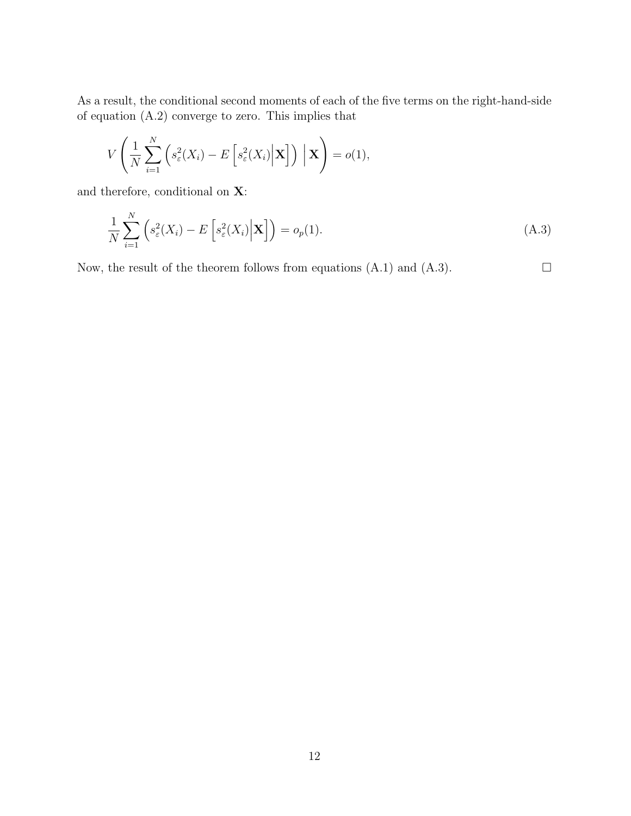As a result, the conditional second moments of each of the five terms on the right-hand-side of equation (A.2) converge to zero. This implies that

$$
V\left(\frac{1}{N}\sum_{i=1}^N\left(s_\varepsilon^2(X_i)-E\left[s_\varepsilon^2(X_i)\Big|\mathbf{X}\right]\right)\Big|\mathbf{X}\right)=o(1),
$$

and therefore, conditional on X:

$$
\frac{1}{N} \sum_{i=1}^{N} \left( s_{\varepsilon}^{2}(X_{i}) - E\left[ s_{\varepsilon}^{2}(X_{i}) \Big| \mathbf{X} \right] \right) = o_{p}(1). \tag{A.3}
$$

Now, the result of the theorem follows from equations  $(A.1)$  and  $(A.3)$ .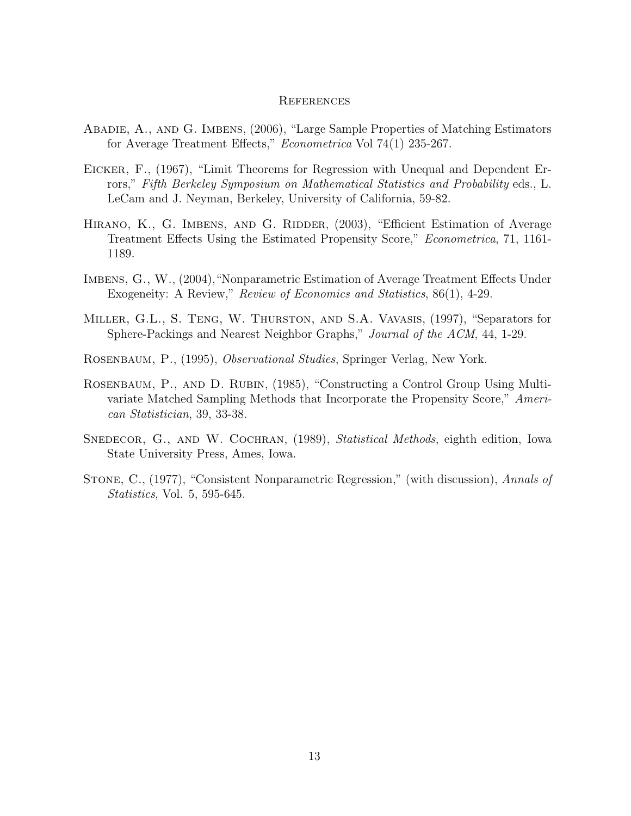#### **REFERENCES**

- Abadie, A., and G. Imbens, (2006), "Large Sample Properties of Matching Estimators for Average Treatment Effects," Econometrica Vol 74(1) 235-267.
- Eicker, F., (1967), "Limit Theorems for Regression with Unequal and Dependent Errors," Fifth Berkeley Symposium on Mathematical Statistics and Probability eds., L. LeCam and J. Neyman, Berkeley, University of California, 59-82.
- HIRANO, K., G. IMBENS, AND G. RIDDER, (2003), "Efficient Estimation of Average Treatment Effects Using the Estimated Propensity Score," Econometrica, 71, 1161- 1189.
- Imbens, G., W., (2004),"Nonparametric Estimation of Average Treatment Effects Under Exogeneity: A Review," Review of Economics and Statistics, 86(1), 4-29.
- Miller, G.L., S. Teng, W. Thurston, and S.A. Vavasis, (1997), "Separators for Sphere-Packings and Nearest Neighbor Graphs," Journal of the ACM, 44, 1-29.

Rosenbaum, P., (1995), Observational Studies, Springer Verlag, New York.

- ROSENBAUM, P., AND D. RUBIN, (1985), "Constructing a Control Group Using Multivariate Matched Sampling Methods that Incorporate the Propensity Score," American Statistician, 39, 33-38.
- SNEDECOR, G., AND W. COCHRAN, (1989), *Statistical Methods*, eighth edition, Iowa State University Press, Ames, Iowa.
- Stone, C., (1977), "Consistent Nonparametric Regression," (with discussion), Annals of Statistics, Vol. 5, 595-645.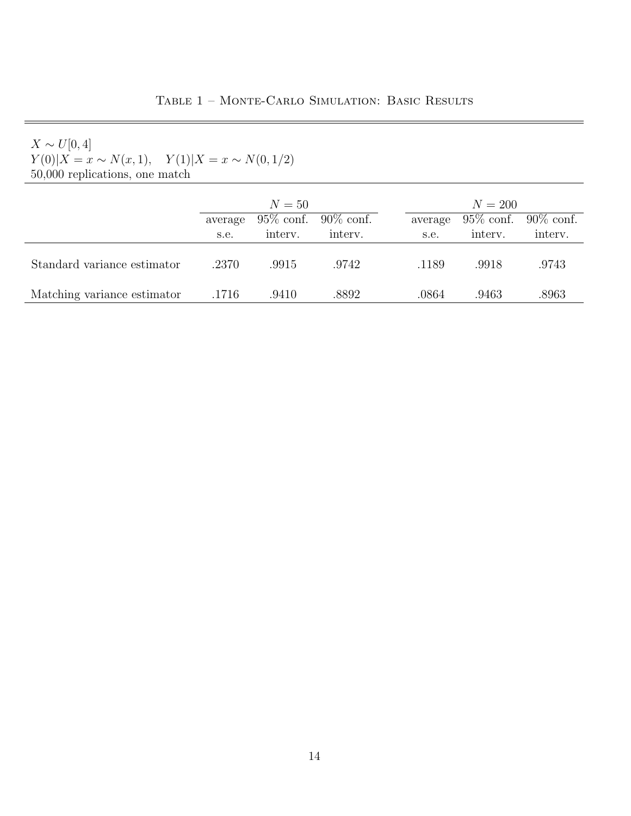| $Y(0) X=x \sim N(x,1), \quad Y(1) X=x \sim N(0,1/2)$ |
|------------------------------------------------------|
| 50,000 replications, one match                       |

|                             | $N=50$  |              |              | $N = 200$ |         |         |                           |
|-----------------------------|---------|--------------|--------------|-----------|---------|---------|---------------------------|
|                             | average | $95\%$ conf. | $90\%$ conf. |           | average |         | $95\%$ conf. $90\%$ conf. |
|                             | s.e.    | interv.      | interv.      |           | s.e.    | interv. | interv.                   |
| Standard variance estimator | .2370   | .9915        | .9742        |           | .1189   | .9918   | .9743                     |
| Matching variance estimator | .1716   | .9410        | .8892        |           | .0864   | .9463   | .8963                     |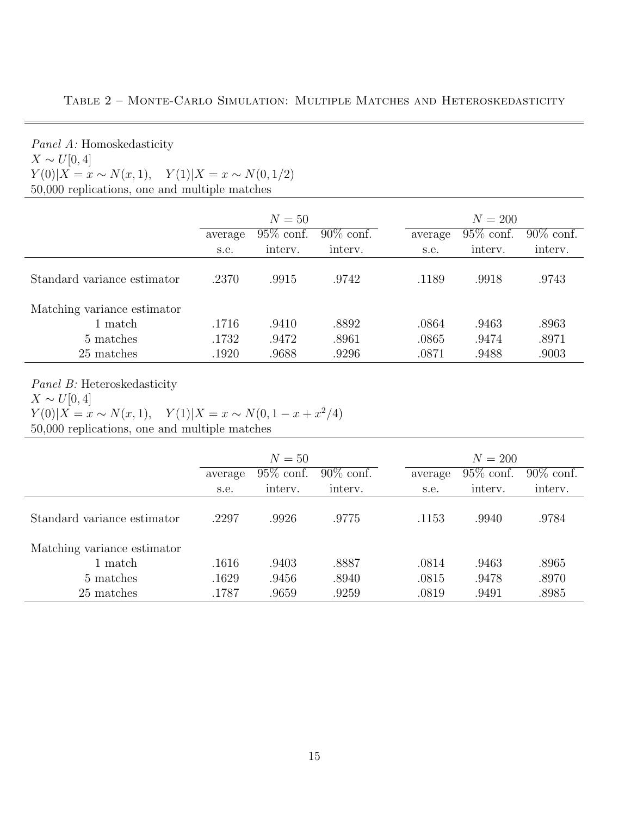| $X \sim U[0,4]$                                      |         |              |              |  |           |              |              |  |
|------------------------------------------------------|---------|--------------|--------------|--|-----------|--------------|--------------|--|
| $Y(0) X=x \sim N(x,1), \quad Y(1) X=x \sim N(0,1/2)$ |         |              |              |  |           |              |              |  |
| 50,000 replications, one and multiple matches        |         |              |              |  |           |              |              |  |
|                                                      |         |              |              |  |           |              |              |  |
|                                                      | $N=50$  |              |              |  | $N = 200$ |              |              |  |
|                                                      | average | $95\%$ conf. | $90\%$ conf. |  | average   | $95\%$ conf. | $90\%$ conf. |  |
|                                                      | s.e.    | interv.      | interv.      |  | s.e.      | interv.      | interv.      |  |
| Standard variance estimator                          | .2370   | .9915        | .9742        |  | .1189     | .9918        | .9743        |  |
| Matching variance estimator                          |         |              |              |  |           |              |              |  |
| 1 match                                              | .1716   | .9410        | .8892        |  | .0864     | .9463        | .8963        |  |
| 5 matches                                            | .1732   | .9472        | .8961        |  | .0865     | .9474        | .8971        |  |
| 25 matches                                           | .1920   | .9688        | .9296        |  | .0871     | .9488        | .9003        |  |

Table 2 – Monte-Carlo Simulation: Multiple Matches and Heteroskedasticity

Panel B: Heteroskedasticity

Panel A: Homoskedasticity

 $X \sim U[0, 4]$ 

$$
Y(0)|X = x \sim N(x, 1), \quad Y(1)|X = x \sim N(0, 1 - x + x^2/4)
$$

50,000 replications, one and multiple matches

|                             | $N=50$  |              |              | $N = 200$ |              |              |  |
|-----------------------------|---------|--------------|--------------|-----------|--------------|--------------|--|
|                             | average | $95\%$ conf. | $90\%$ conf. | average   | $95\%$ conf. | $90\%$ conf. |  |
|                             | s.e.    | intery.      | interv.      | s.e.      | interv.      | interv.      |  |
| Standard variance estimator | .2297   | .9926        | .9775        | .1153     | .9940        | .9784        |  |
| Matching variance estimator |         |              |              |           |              |              |  |
| 1 match                     | .1616   | .9403        | .8887        | .0814     | .9463        | .8965        |  |
| 5 matches                   | .1629   | .9456        | .8940        | .0815     | .9478        | .8970        |  |
| 25 matches                  | .1787   | .9659        | .9259        | .0819     | .9491        | .8985        |  |